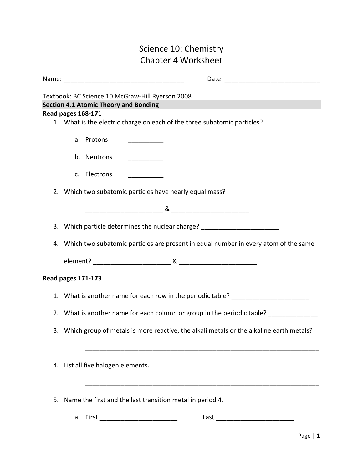# Science 10: Chemistry Chapter 4 Worksheet

|    |                    | Textbook: BC Science 10 McGraw-Hill Ryerson 2008                                           |
|----|--------------------|--------------------------------------------------------------------------------------------|
|    |                    | <b>Section 4.1 Atomic Theory and Bonding</b>                                               |
|    | Read pages 168-171 |                                                                                            |
|    |                    | 1. What is the electric charge on each of the three subatomic particles?                   |
|    |                    |                                                                                            |
|    |                    | a. Protons                                                                                 |
|    |                    | b. Neutrons                                                                                |
|    |                    | c. Electrons<br>__________                                                                 |
|    |                    | 2. Which two subatomic particles have nearly equal mass?                                   |
|    |                    |                                                                                            |
|    |                    | 3. Which particle determines the nuclear charge? _________________________                 |
|    |                    | 4. Which two subatomic particles are present in equal number in every atom of the same     |
|    |                    |                                                                                            |
|    | Read pages 171-173 |                                                                                            |
|    |                    | 1. What is another name for each row in the periodic table? ____________________           |
|    |                    | 2. What is another name for each column or group in the periodic table? _________          |
|    |                    | 3. Which group of metals is more reactive, the alkali metals or the alkaline earth metals? |
|    |                    | 4. List all five halogen elements.                                                         |
| 5. |                    | Name the first and the last transition metal in period 4.                                  |

a. First \_\_\_\_\_\_\_\_\_\_\_\_\_\_\_\_\_\_\_\_\_\_ Last \_\_\_\_\_\_\_\_\_\_\_\_\_\_\_\_\_\_\_\_\_\_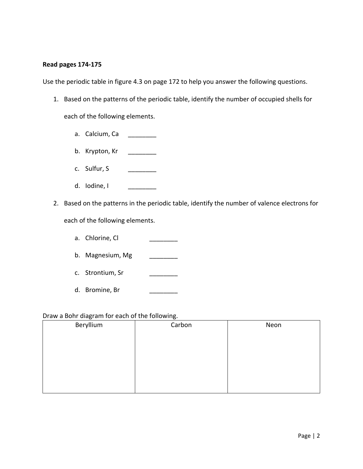#### **Read pages 174-175**

Use the periodic table in figure 4.3 on page 172 to help you answer the following questions.

1. Based on the patterns of the periodic table, identify the number of occupied shells for

each of the following elements.

- a. Calcium, Ca \_\_\_\_\_\_\_\_
- b. Krypton, Kr \_\_\_\_\_\_\_\_\_
- c. Sulfur, S \_\_\_\_\_\_\_\_\_\_\_
- d. lodine, l
- 2. Based on the patterns in the periodic table, identify the number of valence electrons for

each of the following elements.

- a. Chlorine, Cl
- b. Magnesium, Mg
- c. Strontium, Sr
- d. Bromine, Br

### Draw a Bohr diagram for each of the following.

| Beryllium | Carbon | Neon |
|-----------|--------|------|
|           |        |      |
|           |        |      |
|           |        |      |
|           |        |      |
|           |        |      |
|           |        |      |
|           |        |      |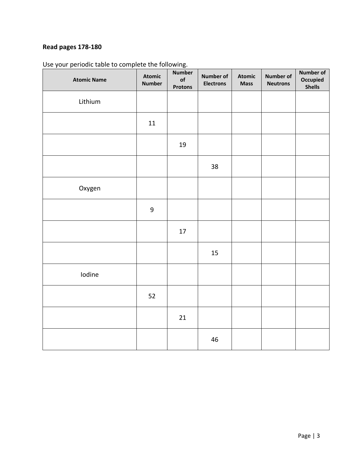# **Read pages 178-180**

| <b>Atomic Name</b> | <b>Atomic</b><br><b>Number</b> | <b>Number</b><br>of<br><b>Protons</b> | <b>Number of</b><br><b>Electrons</b> | <b>Atomic</b><br><b>Mass</b> | <b>Number of</b><br><b>Neutrons</b> | <b>Number of</b><br>Occupied<br><b>Shells</b> |
|--------------------|--------------------------------|---------------------------------------|--------------------------------------|------------------------------|-------------------------------------|-----------------------------------------------|
| Lithium            |                                |                                       |                                      |                              |                                     |                                               |
|                    | $11\,$                         |                                       |                                      |                              |                                     |                                               |
|                    |                                | 19                                    |                                      |                              |                                     |                                               |
|                    |                                |                                       | 38                                   |                              |                                     |                                               |
| Oxygen             |                                |                                       |                                      |                              |                                     |                                               |
|                    | 9                              |                                       |                                      |                              |                                     |                                               |
|                    |                                | 17                                    |                                      |                              |                                     |                                               |
|                    |                                |                                       | 15                                   |                              |                                     |                                               |
| Iodine             |                                |                                       |                                      |                              |                                     |                                               |
|                    | 52                             |                                       |                                      |                              |                                     |                                               |
|                    |                                | 21                                    |                                      |                              |                                     |                                               |
|                    |                                |                                       | 46                                   |                              |                                     |                                               |

Use your periodic table to complete the following.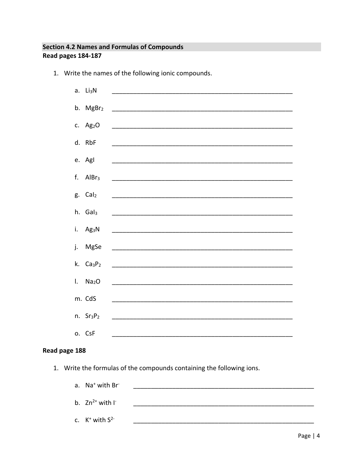### **Section 4.2 Names and Formulas of Compounds** Read pages 184-187

- a. Li<sub>3</sub>N b.  $MgBr<sub>2</sub>$ c.  $Ag<sub>2</sub>O$ d. RbF e. Agl f.  $AlBr<sub>3</sub>$ g. Cal<sub>2</sub> h. Gal<sub>3</sub> i.  $Ag_3N$ j. MgSe k.  $Ca<sub>3</sub>P<sub>2</sub>$  $I.$  Na<sub>2</sub>O m. CdS n.  $Sr<sub>3</sub>P<sub>2</sub>$ o. CsF
- 1. Write the names of the following ionic compounds.

### Read page 188

- 1. Write the formulas of the compounds containing the following ions.
	- a. Na<sup>+</sup> with Br<sup>-</sup> b.  $Zn^{2+}$  with  $\Gamma$ c.  $K^+$  with  $S^{2-}$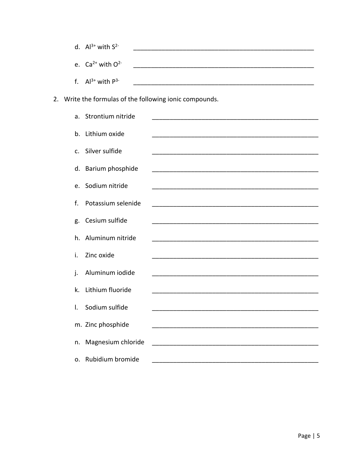| d. $Al^{3+}$ with $S^{2-}$ |  |
|----------------------------|--|
| e. $Ca^{2+}$ with $O^{2-}$ |  |
| f. $Al^{3+}$ with $P^{3-}$ |  |

2. Write the formulas of the following ionic compounds.

|                | a. Strontium nitride |                                                                                                                      |
|----------------|----------------------|----------------------------------------------------------------------------------------------------------------------|
| b.             | Lithium oxide        |                                                                                                                      |
| $C_{\cdot}$    | Silver sulfide       |                                                                                                                      |
| d.             | Barium phosphide     |                                                                                                                      |
| $\mathsf{e}$ . | Sodium nitride       |                                                                                                                      |
| f.             | Potassium selenide   |                                                                                                                      |
| g.             | Cesium sulfide       |                                                                                                                      |
| h.             | Aluminum nitride     |                                                                                                                      |
| i.             | Zinc oxide           |                                                                                                                      |
| j.             | Aluminum iodide      |                                                                                                                      |
| k.             | Lithium fluoride     | <u> 1980 - Jan Stein Stein Stein Stein Stein Stein Stein Stein Stein Stein Stein Stein Stein Stein Stein Stein S</u> |
| I.             | Sodium sulfide       |                                                                                                                      |
|                | m. Zinc phosphide    |                                                                                                                      |
| n.             | Magnesium chloride   |                                                                                                                      |
|                | o. Rubidium bromide  |                                                                                                                      |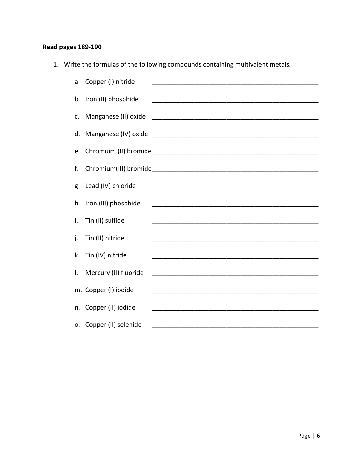### **Read pages 189-190**

1. Write the formulas of the following compounds containing multivalent metals.

|    | a. Copper (I) nitride   | <u> 1980 - John Stone, Amerikaansk politiker (</u> † 1920)                                                           |
|----|-------------------------|----------------------------------------------------------------------------------------------------------------------|
|    | b. Iron (II) phosphide  |                                                                                                                      |
| c. | Manganese (II) oxide    |                                                                                                                      |
| d. |                         |                                                                                                                      |
| e. |                         |                                                                                                                      |
| f. |                         |                                                                                                                      |
|    |                         |                                                                                                                      |
| g. | Lead (IV) chloride      |                                                                                                                      |
|    | h. Iron (III) phosphide |                                                                                                                      |
| i. | Tin (II) sulfide        |                                                                                                                      |
| j. | Tin (II) nitride        |                                                                                                                      |
| k. | Tin (IV) nitride        |                                                                                                                      |
| I. | Mercury (II) fluoride   | <u> 1980 - Jan James James Barnett, amerikan basar dan berasal dalam pengaran basar dalam basa dan basar dalam b</u> |
|    | m. Copper (I) iodide    |                                                                                                                      |
|    |                         |                                                                                                                      |
| n. | Copper (II) iodide      | <u> 1980 - Jan James James Barnett, fransk politik (d. 1980)</u>                                                     |
|    | o. Copper (II) selenide |                                                                                                                      |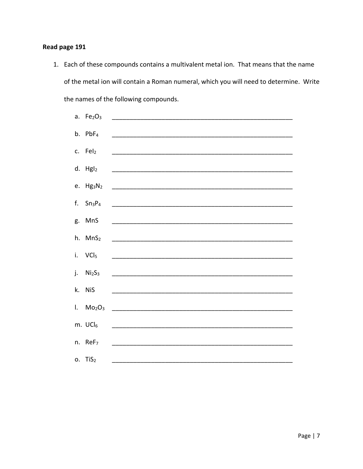### Read page 191

1. Each of these compounds contains a multivalent metal ion. That means that the name of the metal ion will contain a Roman numeral, which you will need to determine. Write the names of the following compounds.

| a. $Fe2O3$            |                                                                                                                       |
|-----------------------|-----------------------------------------------------------------------------------------------------------------------|
| $b.$ PbF <sub>4</sub> | <u> 1980 - Johann Harry Harry Harry Harry Harry Harry Harry Harry Harry Harry Harry Harry Harry Harry Harry Harry</u> |
| c. Fel2               |                                                                                                                       |
| $d.$ HgI <sub>2</sub> |                                                                                                                       |
|                       |                                                                                                                       |
| f. $Sn_3P_4$          |                                                                                                                       |
| g. MnS                |                                                                                                                       |
| h. MnS <sub>2</sub>   |                                                                                                                       |
| i. VCl <sub>5</sub>   |                                                                                                                       |
| j. $Ni2S3$            |                                                                                                                       |
| k. NiS                |                                                                                                                       |
|                       | $1. \quad Mo_2O_3 \quad \_$                                                                                           |
| m. $UCI_6$            |                                                                                                                       |
| n. ReF <sub>7</sub>   |                                                                                                                       |
| $o.$ TiS <sub>2</sub> |                                                                                                                       |
|                       |                                                                                                                       |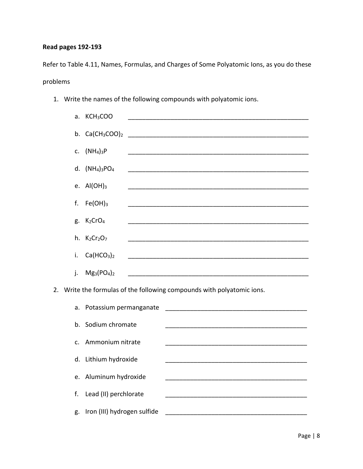### **Read pages 192-193**

Refer to Table 4.11, Names, Formulas, and Charges of Some Polyatomic Ions, as you do these problems

1. Write the names of the following compounds with polyatomic ions.

| a. | KCH <sub>3</sub> COO               |                                            |                                                                                                                                                                  |  |                                                                                                                                                                                                                                                     |
|----|------------------------------------|--------------------------------------------|------------------------------------------------------------------------------------------------------------------------------------------------------------------|--|-----------------------------------------------------------------------------------------------------------------------------------------------------------------------------------------------------------------------------------------------------|
| b. | $Ca(CH_3COO)_2$                    |                                            |                                                                                                                                                                  |  |                                                                                                                                                                                                                                                     |
| c. | (NH <sub>4</sub> ) <sub>3</sub> P  |                                            |                                                                                                                                                                  |  |                                                                                                                                                                                                                                                     |
| d. |                                    |                                            |                                                                                                                                                                  |  |                                                                                                                                                                                                                                                     |
|    |                                    |                                            |                                                                                                                                                                  |  |                                                                                                                                                                                                                                                     |
|    |                                    |                                            |                                                                                                                                                                  |  |                                                                                                                                                                                                                                                     |
|    |                                    |                                            |                                                                                                                                                                  |  |                                                                                                                                                                                                                                                     |
| g. | K <sub>2</sub> CrO <sub>4</sub>    |                                            |                                                                                                                                                                  |  |                                                                                                                                                                                                                                                     |
| h. | $K2Cr2O7$                          |                                            |                                                                                                                                                                  |  |                                                                                                                                                                                                                                                     |
| i. | Ca(HCO <sub>3</sub> ) <sub>2</sub> |                                            |                                                                                                                                                                  |  |                                                                                                                                                                                                                                                     |
| j. | $Mg_3(PO_4)_2$                     |                                            |                                                                                                                                                                  |  |                                                                                                                                                                                                                                                     |
|    |                                    |                                            |                                                                                                                                                                  |  |                                                                                                                                                                                                                                                     |
| a. |                                    |                                            |                                                                                                                                                                  |  |                                                                                                                                                                                                                                                     |
|    |                                    |                                            |                                                                                                                                                                  |  |                                                                                                                                                                                                                                                     |
|    |                                    |                                            |                                                                                                                                                                  |  |                                                                                                                                                                                                                                                     |
| c. |                                    |                                            |                                                                                                                                                                  |  |                                                                                                                                                                                                                                                     |
| d. |                                    |                                            |                                                                                                                                                                  |  |                                                                                                                                                                                                                                                     |
| e. |                                    |                                            |                                                                                                                                                                  |  |                                                                                                                                                                                                                                                     |
| f. |                                    |                                            |                                                                                                                                                                  |  |                                                                                                                                                                                                                                                     |
| g. |                                    |                                            |                                                                                                                                                                  |  |                                                                                                                                                                                                                                                     |
|    | e.<br>f.<br>b.                     | $(NH_4)_3PO_4$<br>$AI(OH)_3$<br>$Fe(OH)_3$ | Potassium permanganate<br>Sodium chromate<br>Ammonium nitrate<br>Lithium hydroxide<br>Aluminum hydroxide<br>Lead (II) perchlorate<br>Iron (III) hydrogen sulfide |  | <u> 1989 - Jan James James James James James James James James James James James James James James James James J</u><br>Write the formulas of the following compounds with polyatomic ions.<br><u> 1980 - Jan Barnett, fransk politik (d. 1980)</u> |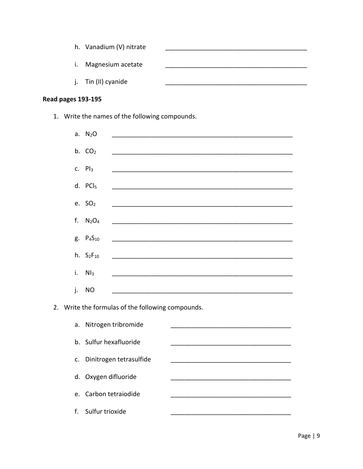|                | h. Vanadium (V) nitrate |  |
|----------------|-------------------------|--|
| $\mathbf{I}$ . | Magnesium acetate       |  |
|                | j. Tin (II) cyanide     |  |

# Read pages 193-195

1. Write the names of the following compounds.

| a.             | N <sub>2</sub> O              |                                                                  |  |  |
|----------------|-------------------------------|------------------------------------------------------------------|--|--|
|                | b. $CO2$                      |                                                                  |  |  |
| c.             | Pl <sub>3</sub>               |                                                                  |  |  |
|                |                               |                                                                  |  |  |
|                | d. $PCl5$                     |                                                                  |  |  |
|                | e. $SO2$                      |                                                                  |  |  |
| f.             | N <sub>2</sub> O <sub>4</sub> | <u> 1980 - Jan James James Barnett, fransk politik (d. 1980)</u> |  |  |
| g.             | $P_{4}S_{10}$                 |                                                                  |  |  |
|                | h. $S_2F_{10}$                |                                                                  |  |  |
| i.             | Nl <sub>3</sub>               |                                                                  |  |  |
| j.             | <b>NO</b>                     |                                                                  |  |  |
| 2.             |                               | Write the formulas of the following compounds.                   |  |  |
|                |                               |                                                                  |  |  |
| a.             |                               | Nitrogen tribromide                                              |  |  |
| b <sub>1</sub> |                               | Sulfur hexafluoride                                              |  |  |
| c.             |                               | Dinitrogen tetrasulfide                                          |  |  |
| d.             | Oxygen difluoride             |                                                                  |  |  |
| e.             |                               | Carbon tetraiodide                                               |  |  |
| f.             | Sulfur trioxide               |                                                                  |  |  |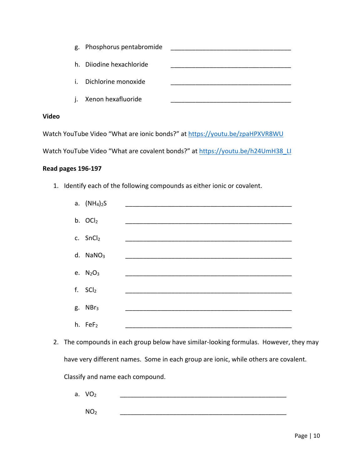|    | g. Phosphorus pentabromide |  |
|----|----------------------------|--|
| h. | Dijodine hexachloride      |  |
| i. | Dichlorine monoxide        |  |
| i. | Xenon hexafluoride         |  |
|    |                            |  |

### **Video**

Watch YouTube Video "What are ionic bonds?" at<https://youtu.be/zpaHPXVR8WU>

Watch YouTube Video "What are covalent bonds?" at [https://youtu.be/h24UmH38\\_LI](https://youtu.be/h24UmH38_LI)

#### **Read pages 196-197**

1. Identify each of the following compounds as either ionic or covalent.

| a. $(NH_4)_2S$         |  |
|------------------------|--|
| b. OCl2                |  |
| c. SnCl2               |  |
| $d.$ NaNO <sub>3</sub> |  |
| e. $N_2O_3$            |  |
| f. SCI <sub>2</sub>    |  |
| g. NBr <sub>3</sub>    |  |
| h. FeF <sub>2</sub>    |  |

2. The compounds in each group below have similar-looking formulas. However, they may have very different names. Some in each group are ionic, while others are covalent. Classify and name each compound.

a.  $VO<sub>2</sub>$ 

NO2 \_\_\_\_\_\_\_\_\_\_\_\_\_\_\_\_\_\_\_\_\_\_\_\_\_\_\_\_\_\_\_\_\_\_\_\_\_\_\_\_\_\_\_\_\_\_\_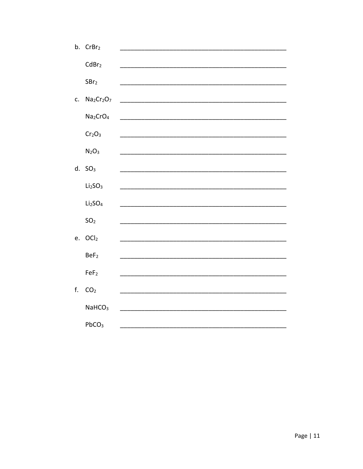| b. CrBr <sub>2</sub>                           |                                                                                                                                               |
|------------------------------------------------|-----------------------------------------------------------------------------------------------------------------------------------------------|
|                                                |                                                                                                                                               |
|                                                |                                                                                                                                               |
|                                                |                                                                                                                                               |
| Na <sub>2</sub> Cr <sub>2</sub> O <sub>7</sub> |                                                                                                                                               |
| Na <sub>2</sub> CrO <sub>4</sub>               |                                                                                                                                               |
| Cr <sub>2</sub> O <sub>3</sub>                 |                                                                                                                                               |
| $N_2O_3$                                       |                                                                                                                                               |
|                                                |                                                                                                                                               |
|                                                |                                                                                                                                               |
|                                                |                                                                                                                                               |
| Li <sub>2</sub> SO <sub>4</sub>                |                                                                                                                                               |
| SO <sub>2</sub>                                |                                                                                                                                               |
|                                                |                                                                                                                                               |
|                                                |                                                                                                                                               |
| BeF <sub>2</sub>                               |                                                                                                                                               |
| FeF <sub>2</sub>                               |                                                                                                                                               |
|                                                |                                                                                                                                               |
|                                                |                                                                                                                                               |
| NaHCO <sub>3</sub>                             |                                                                                                                                               |
| PbCO <sub>3</sub>                              |                                                                                                                                               |
|                                                | CdBr <sub>2</sub><br>SBr <sub>2</sub><br>$d.$ SO <sub>3</sub><br>Li <sub>2</sub> SO <sub>3</sub><br>OCl <sub>2</sub><br>e.<br>CO <sub>2</sub> |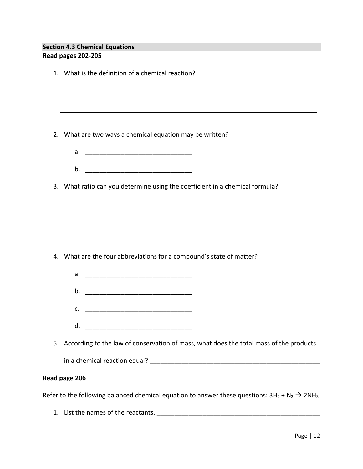### **Section 4.3 Chemical Equations Read pages 202-205**

|               | 1. What is the definition of a chemical reaction?                                         |  |
|---------------|-------------------------------------------------------------------------------------------|--|
|               |                                                                                           |  |
|               | ,我们也不会有什么。""我们的人,我们也不会有什么?""我们的人,我们也不会有什么?""我们的人,我们也不会有什么?""我们的人,我们也不会有什么?""我们的人          |  |
|               |                                                                                           |  |
| 2.            | What are two ways a chemical equation may be written?                                     |  |
|               |                                                                                           |  |
|               |                                                                                           |  |
|               | 3. What ratio can you determine using the coefficient in a chemical formula?              |  |
|               |                                                                                           |  |
|               |                                                                                           |  |
|               |                                                                                           |  |
|               |                                                                                           |  |
|               | 4. What are the four abbreviations for a compound's state of matter?                      |  |
|               |                                                                                           |  |
|               | b. <u>__________________________________</u>                                              |  |
|               | $\mathsf{C}.$ $\qquad \qquad$                                                             |  |
|               | d.                                                                                        |  |
|               |                                                                                           |  |
|               | 5. According to the law of conservation of mass, what does the total mass of the products |  |
|               |                                                                                           |  |
| Read page 206 |                                                                                           |  |
|               |                                                                                           |  |

Refer to the following balanced chemical equation to answer these questions:  $3H_2 + N_2 \rightarrow 2NH_3$ 

1. List the names of the reactants. \_\_\_\_\_\_\_\_\_\_\_\_\_\_\_\_\_\_\_\_\_\_\_\_\_\_\_\_\_\_\_\_\_\_\_\_\_\_\_\_\_\_\_\_\_\_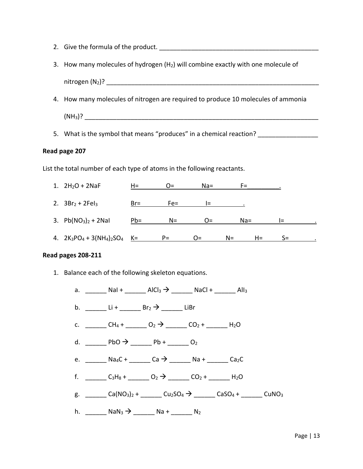- 2. Give the formula of the product. \_\_\_\_\_\_\_\_\_\_\_\_\_\_\_\_\_\_\_\_\_\_\_\_\_\_\_\_\_\_\_\_\_\_\_\_\_\_\_\_\_\_\_\_\_
- 3. How many molecules of hydrogen  $(H<sub>2</sub>)$  will combine exactly with one molecule of

 $nitrogen (N_2)?$ 

4. How many molecules of nitrogen are required to produce 10 molecules of ammonia

 $(NH_3)?$ 

5. What is the symbol that means "produces" in a chemical reaction?

#### **Read page 207**

List the total number of each type of atoms in the following reactants.



#### **Read pages 208-211**

1. Balance each of the following skeleton equations.